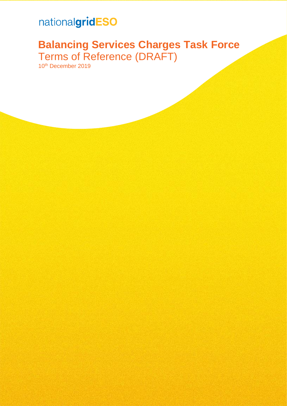# nationalgridESO

# **Balancing Services Charges Task Force** Terms of Reference (DRAFT)

10th December 2019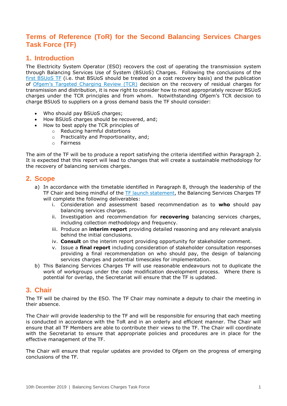## **Terms of Reference (ToR) for the Second Balancing Services Charges Task Force (TF)**

## **1. Introduction**

The Electricity System Operator (ESO) recovers the cost of operating the transmission system through Balancing Services Use of System (BSUoS) Charges. Following the conclusions of the [first BSUoS TF](http://www.chargingfutures.com/charging-reforms/task-forces/balancing-services-charges-task-force/what-is-the-balancing-services-charges-task-force/) (i.e. that BSUoS should be treated on a cost recovery basis) and the publication of Ofgem's [Targeted Charging Review \(TCR\)](https://www.ofgem.gov.uk/publications-and-updates/targeted-charging-review-decision-and-impact-assessment) decision on the recovery of residual charges for transmission and distribution, it is now right to consider how to most appropriately recover BSUoS charges under the TCR principles and from whom. Notwithstanding Ofgem's TCR decision to charge BSUoS to suppliers on a gross demand basis the TF should consider:

- Who should pay BSUoS charges;
- How BSUoS charges should be recovered, and;
- How to best apply the TCR principles of
	- o Reducing harmful distortions
	- o Practicality and Proportionality, and;
	- o Fairness

The aim of the TF will be to produce a report satisfying the criteria identified within Paragraph 2. It is expected that this report will lead to changes that will create a sustainable methodology for the recovery of balancing services charges.

### **2. Scope**

- a) In accordance with the timetable identified in Paragraph 8, through the leadership of the TF Chair and being mindful of the [TF launch statement,](https://www.ofgem.gov.uk/system/files/docs/2019/11/open_letter_on_the_balancing_services_charges_taskforce.pdf) the Balancing Services Charges TF will complete the following deliverables:
	- i. Consideration and assessment based recommendation as to **who** should pay balancing services charges.
	- ii. Investigation and recommendation for **recovering** balancing services charges, including collection methodology and frequency.
	- iii. Produce an **interim report** providing detailed reasoning and any relevant analysis behind the initial conclusions.
	- iv. **Consult** on the interim report providing opportunity for stakeholder comment.
	- v. Issue a **final report** including consideration of stakeholder consultation responses providing a final recommendation on who should pay, the design of balancing services charges and potential timescales for implementation.
- b) This Balancing Services Charges TF will use reasonable endeavours not to duplicate the work of workgroups under the code modification development process. Where there is potential for overlap, the Secretariat will ensure that the TF is updated.

### **3. Chair**

The TF will be chaired by the ESO. The TF Chair may nominate a deputy to chair the meeting in their absence.

The Chair will provide leadership to the TF and will be responsible for ensuring that each meeting is conducted in accordance with the ToR and in an orderly and efficient manner. The Chair will ensure that all TF Members are able to contribute their views to the TF. The Chair will coordinate with the Secretariat to ensure that appropriate policies and procedures are in place for the effective management of the TF.

The Chair will ensure that regular updates are provided to Ofgem on the progress of emerging conclusions of the TF.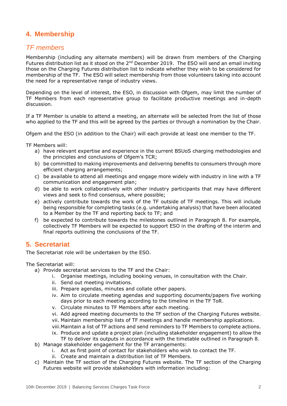## **4. Membership**

## *TF members*

Membership (including any alternate members) will be drawn from members of the Charging Futures distribution list as it stood on the 2<sup>nd</sup> December 2019. The ESO will send an email inviting those on the Charging Futures distribution list to indicate whether they wish to be considered for membership of the TF. The ESO will select membership from those volunteers taking into account the need for a representative range of industry views.

Depending on the level of interest, the ESO, in discussion with Ofgem, may limit the number of TF Members from each representative group to facilitate productive meetings and in-depth discussion.

If a TF Member is unable to attend a meeting, an alternate will be selected from the list of those who applied to the TF and this will be agreed by the parties or through a nomination by the Chair.

Ofgem and the ESO (in addition to the Chair) will each provide at least one member to the TF.

TF Members will:

- a) have relevant expertise and experience in the current BSUoS charging methodologies and the principles and conclusions of Ofgem's TCR;
- b) be committed to making improvements and delivering benefits to consumers through more efficient charging arrangements;
- c) be available to attend all meetings and engage more widely with industry in line with a TF communication and engagement plan;
- d) be able to work collaboratively with other industry participants that may have different views and seek to find consensus, where possible;
- e) actively contribute towards the work of the TF outside of TF meetings. This will include being responsible for completing tasks (e.g. undertaking analysis) that have been allocated to a Member by the TF and reporting back to TF; and
- f) be expected to contribute towards the milestones outlined in Paragraph 8. For example, collectively TF Members will be expected to support ESO in the drafting of the interim and final reports outlining the conclusions of the TF.

## **5. Secretariat**

The Secretariat role will be undertaken by the ESO.

The Secretariat will:

- a) Provide secretariat services to the TF and the Chair:
	- i. Organise meetings, including booking venues, in consultation with the Chair.
	- ii. Send out meeting invitations.
	- iii. Prepare agendas, minutes and collate other papers.
	- iv. Aim to circulate meeting agendas and supporting documents/papers five working days prior to each meeting according to the timeline in the TF ToR.
	- v. Circulate minutes to TF Members after each meeting.
	- vi. Add agreed meeting documents to the TF section of the Charging Futures website.
	- vii. Maintain membership lists of TF meetings and handle membership applications.
	- viii.Maintain a list of TF actions and send reminders to TF Members to complete actions.
	- ix. Produce and update a project plan (including stakeholder engagement) to allow the TF to deliver its outputs in accordance with the timetable outlined in Paragraph 8.
- b) Manage stakeholder engagement for the TF arrangements:
	- i. Act as first point of contact for stakeholders who wish to contact the TF.
	- ii. Create and maintain a distribution list of TF Members.
- c) Maintain the TF section of the Charging Futures website. The TF section of the Charging Futures website will provide stakeholders with information including: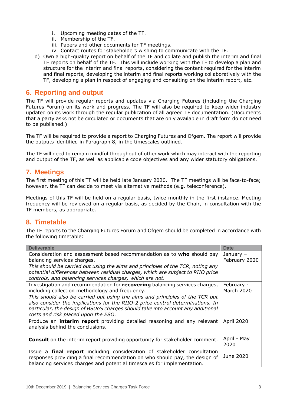- i. Upcoming meeting dates of the TF.
- ii. Membership of the TF.
- iii. Papers and other documents for TF meetings.
- iv. Contact routes for stakeholders wishing to communicate with the TF.
- d) Own a high-quality report on behalf of the TF and collate and publish the interim and final TF reports on behalf of the TF. This will include working with the TF to develop a plan and structure for the interim and final reports, considering the content required for the interim and final reports, developing the interim and final reports working collaboratively with the TF, developing a plan in respect of engaging and consulting on the interim report, etc.

## **6. Reporting and output**

The TF will provide regular reports and updates via Charging Futures (including the Charging Futures Forum) on its work and progress. The TF will also be required to keep wider industry updated on its work through the regular publication of all agreed TF documentation. (Documents that a party asks not be circulated or documents that are only available in draft form do not need to be published.)

The TF will be required to provide a report to Charging Futures and Ofgem. The report will provide the outputs identified in Paragraph 8, in the timescales outlined.

The TF will need to remain mindful throughout of other work which may interact with the reporting and output of the TF, as well as applicable code objectives and any wider statutory obligations.

### **7. Meetings**

The first meeting of this TF will be held late January 2020. The TF meetings will be face-to-face; however, the TF can decide to meet via alternative methods (e.g. teleconference).

Meetings of this TF will be held on a regular basis, twice monthly in the first instance. Meeting frequency will be reviewed on a regular basis, as decided by the Chair, in consultation with the TF members, as appropriate.

## **8. Timetable**

The TF reports to the Charging Futures Forum and Ofgem should be completed in accordance with the following timetable:

| <b>Deliverable</b>                                                                                                                                                                                                                                                                       | <b>Date</b>                |
|------------------------------------------------------------------------------------------------------------------------------------------------------------------------------------------------------------------------------------------------------------------------------------------|----------------------------|
| Consideration and assessment based recommendation as to who should pay<br>balancing services charges.                                                                                                                                                                                    | January -<br>February 2020 |
| This should be carried out using the aims and principles of the TCR, noting any<br>potential differences between residual charges, which are subject to RIIO price<br>controls, and balancing services charges, which are not.                                                           |                            |
| Investigation and recommendation for recovering balancing services charges,<br>including collection methodology and frequency.                                                                                                                                                           | February -<br>March 2020   |
| This should also be carried out using the aims and principles of the TCR but<br>also consider the implications for the RIIO-2 price control determinations. In<br>particular, the design of BSUoS charges should take into account any additional<br>costs and risk placed upon the ESO. |                            |
| Produce an <b>interim report</b> providing detailed reasoning and any relevant<br>analysis behind the conclusions.                                                                                                                                                                       | April 2020                 |
| <b>Consult</b> on the interim report providing opportunity for stakeholder comment.                                                                                                                                                                                                      | April - May<br>2020        |
| Issue a <b>final report</b> including consideration of stakeholder consultation<br>responses providing a final recommendation on who should pay, the design of<br>balancing services charges and potential timescales for implementation.                                                | June 2020                  |